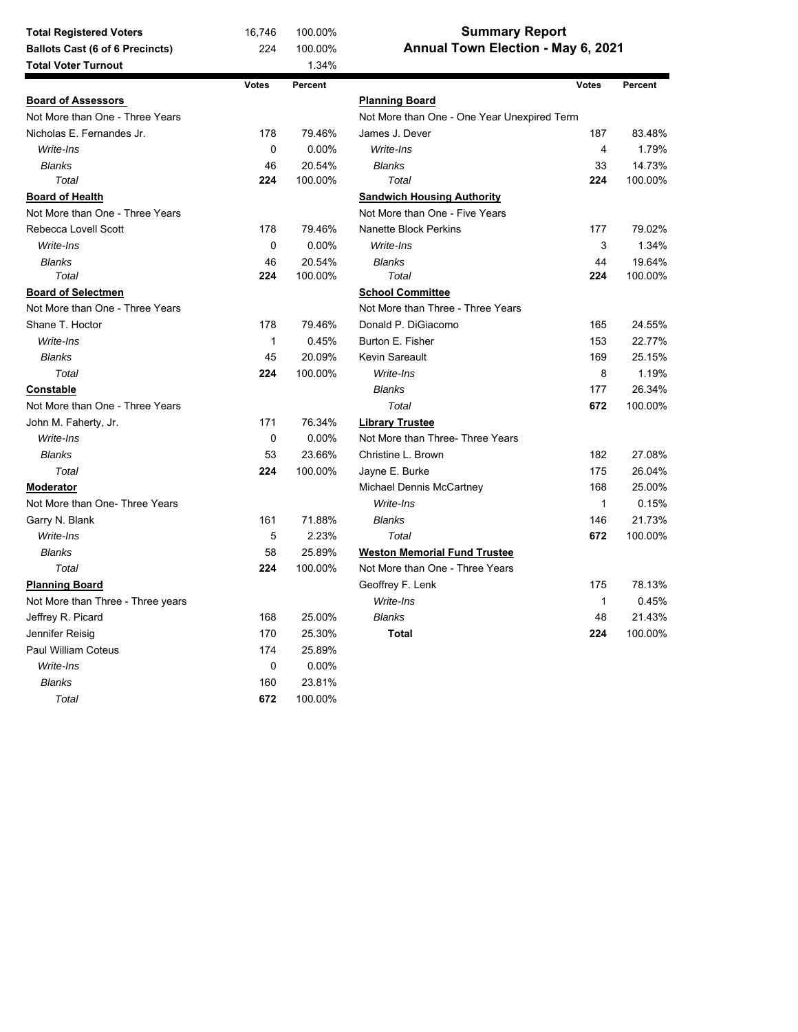| Annual Town Election - May 6, 2021<br>224<br><b>Ballots Cast (6 of 6 Precincts)</b><br>100.00%<br><b>Total Voter Turnout</b><br>1.34%<br><b>Votes</b><br>Percent<br><b>Votes</b><br>Percent<br><b>Board of Assessors</b><br><b>Planning Board</b><br>Not More than One - Three Years<br>Not More than One - One Year Unexpired Term<br>Nicholas E. Fernandes Jr.<br>178<br>79.46%<br>James J. Dever<br>187<br>83.48%<br>0<br>0.00%<br>Write-Ins<br>$\overline{4}$<br>Write-Ins<br>1.79%<br><b>Blanks</b><br>46<br>20.54%<br><b>Blanks</b><br>33<br>14.73%<br>Total<br>224<br>100.00%<br>Total<br>224<br>100.00%<br><b>Board of Health</b><br><b>Sandwich Housing Authority</b><br>Not More than One - Three Years<br>Not More than One - Five Years<br>Rebecca Lovell Scott<br>178<br>79.46%<br><b>Nanette Block Perkins</b><br>177<br>79.02%<br>0<br>0.00%<br>1.34%<br>Write-Ins<br>Write-Ins<br>3<br>44<br><b>Blanks</b><br>46<br>20.54%<br><b>Blanks</b><br>19.64%<br>Total<br>224<br>100.00%<br>Total<br>224<br>100.00%<br><b>School Committee</b><br><b>Board of Selectmen</b><br>Not More than One - Three Years<br>Not More than Three - Three Years<br>Shane T. Hoctor<br>178<br>79.46%<br>Donald P. DiGiacomo<br>24.55% |
|----------------------------------------------------------------------------------------------------------------------------------------------------------------------------------------------------------------------------------------------------------------------------------------------------------------------------------------------------------------------------------------------------------------------------------------------------------------------------------------------------------------------------------------------------------------------------------------------------------------------------------------------------------------------------------------------------------------------------------------------------------------------------------------------------------------------------------------------------------------------------------------------------------------------------------------------------------------------------------------------------------------------------------------------------------------------------------------------------------------------------------------------------------------------------------------------------------------------------------|
|                                                                                                                                                                                                                                                                                                                                                                                                                                                                                                                                                                                                                                                                                                                                                                                                                                                                                                                                                                                                                                                                                                                                                                                                                                  |
|                                                                                                                                                                                                                                                                                                                                                                                                                                                                                                                                                                                                                                                                                                                                                                                                                                                                                                                                                                                                                                                                                                                                                                                                                                  |
|                                                                                                                                                                                                                                                                                                                                                                                                                                                                                                                                                                                                                                                                                                                                                                                                                                                                                                                                                                                                                                                                                                                                                                                                                                  |
|                                                                                                                                                                                                                                                                                                                                                                                                                                                                                                                                                                                                                                                                                                                                                                                                                                                                                                                                                                                                                                                                                                                                                                                                                                  |
|                                                                                                                                                                                                                                                                                                                                                                                                                                                                                                                                                                                                                                                                                                                                                                                                                                                                                                                                                                                                                                                                                                                                                                                                                                  |
|                                                                                                                                                                                                                                                                                                                                                                                                                                                                                                                                                                                                                                                                                                                                                                                                                                                                                                                                                                                                                                                                                                                                                                                                                                  |
|                                                                                                                                                                                                                                                                                                                                                                                                                                                                                                                                                                                                                                                                                                                                                                                                                                                                                                                                                                                                                                                                                                                                                                                                                                  |
|                                                                                                                                                                                                                                                                                                                                                                                                                                                                                                                                                                                                                                                                                                                                                                                                                                                                                                                                                                                                                                                                                                                                                                                                                                  |
|                                                                                                                                                                                                                                                                                                                                                                                                                                                                                                                                                                                                                                                                                                                                                                                                                                                                                                                                                                                                                                                                                                                                                                                                                                  |
|                                                                                                                                                                                                                                                                                                                                                                                                                                                                                                                                                                                                                                                                                                                                                                                                                                                                                                                                                                                                                                                                                                                                                                                                                                  |
|                                                                                                                                                                                                                                                                                                                                                                                                                                                                                                                                                                                                                                                                                                                                                                                                                                                                                                                                                                                                                                                                                                                                                                                                                                  |
|                                                                                                                                                                                                                                                                                                                                                                                                                                                                                                                                                                                                                                                                                                                                                                                                                                                                                                                                                                                                                                                                                                                                                                                                                                  |
|                                                                                                                                                                                                                                                                                                                                                                                                                                                                                                                                                                                                                                                                                                                                                                                                                                                                                                                                                                                                                                                                                                                                                                                                                                  |
|                                                                                                                                                                                                                                                                                                                                                                                                                                                                                                                                                                                                                                                                                                                                                                                                                                                                                                                                                                                                                                                                                                                                                                                                                                  |
|                                                                                                                                                                                                                                                                                                                                                                                                                                                                                                                                                                                                                                                                                                                                                                                                                                                                                                                                                                                                                                                                                                                                                                                                                                  |
|                                                                                                                                                                                                                                                                                                                                                                                                                                                                                                                                                                                                                                                                                                                                                                                                                                                                                                                                                                                                                                                                                                                                                                                                                                  |
|                                                                                                                                                                                                                                                                                                                                                                                                                                                                                                                                                                                                                                                                                                                                                                                                                                                                                                                                                                                                                                                                                                                                                                                                                                  |
| 165                                                                                                                                                                                                                                                                                                                                                                                                                                                                                                                                                                                                                                                                                                                                                                                                                                                                                                                                                                                                                                                                                                                                                                                                                              |
| Write-Ins<br>0.45%<br>Burton E. Fisher<br>22.77%<br>$\mathbf{1}$<br>153                                                                                                                                                                                                                                                                                                                                                                                                                                                                                                                                                                                                                                                                                                                                                                                                                                                                                                                                                                                                                                                                                                                                                          |
| Kevin Sareault<br><b>Blanks</b><br>45<br>20.09%<br>169<br>25.15%                                                                                                                                                                                                                                                                                                                                                                                                                                                                                                                                                                                                                                                                                                                                                                                                                                                                                                                                                                                                                                                                                                                                                                 |
| Total<br>224<br>Write-Ins<br>100.00%<br>8<br>1.19%                                                                                                                                                                                                                                                                                                                                                                                                                                                                                                                                                                                                                                                                                                                                                                                                                                                                                                                                                                                                                                                                                                                                                                               |
| Constable<br><b>Blanks</b><br>177<br>26.34%                                                                                                                                                                                                                                                                                                                                                                                                                                                                                                                                                                                                                                                                                                                                                                                                                                                                                                                                                                                                                                                                                                                                                                                      |
| Not More than One - Three Years<br>Total<br>672<br>100.00%                                                                                                                                                                                                                                                                                                                                                                                                                                                                                                                                                                                                                                                                                                                                                                                                                                                                                                                                                                                                                                                                                                                                                                       |
| 171<br>76.34%<br>John M. Faherty, Jr.<br><b>Library Trustee</b>                                                                                                                                                                                                                                                                                                                                                                                                                                                                                                                                                                                                                                                                                                                                                                                                                                                                                                                                                                                                                                                                                                                                                                  |
| $\mathbf 0$<br>0.00%<br>Write-Ins<br>Not More than Three-Three Years                                                                                                                                                                                                                                                                                                                                                                                                                                                                                                                                                                                                                                                                                                                                                                                                                                                                                                                                                                                                                                                                                                                                                             |
| 53<br>23.66%<br><b>Blanks</b><br>Christine L. Brown<br>182<br>27.08%                                                                                                                                                                                                                                                                                                                                                                                                                                                                                                                                                                                                                                                                                                                                                                                                                                                                                                                                                                                                                                                                                                                                                             |
| 224<br>100.00%<br>Total<br>Jayne E. Burke<br>175<br>26.04%                                                                                                                                                                                                                                                                                                                                                                                                                                                                                                                                                                                                                                                                                                                                                                                                                                                                                                                                                                                                                                                                                                                                                                       |
| 168<br>25.00%<br>Moderator<br>Michael Dennis McCartney                                                                                                                                                                                                                                                                                                                                                                                                                                                                                                                                                                                                                                                                                                                                                                                                                                                                                                                                                                                                                                                                                                                                                                           |
| Not More than One- Three Years<br>Write-Ins<br>0.15%<br>$\mathbf{1}$                                                                                                                                                                                                                                                                                                                                                                                                                                                                                                                                                                                                                                                                                                                                                                                                                                                                                                                                                                                                                                                                                                                                                             |
| 21.73%<br>Garry N. Blank<br>161<br>71.88%<br><b>Blanks</b><br>146                                                                                                                                                                                                                                                                                                                                                                                                                                                                                                                                                                                                                                                                                                                                                                                                                                                                                                                                                                                                                                                                                                                                                                |
| Write-Ins<br>5<br>2.23%<br>672<br>100.00%<br>Total                                                                                                                                                                                                                                                                                                                                                                                                                                                                                                                                                                                                                                                                                                                                                                                                                                                                                                                                                                                                                                                                                                                                                                               |
| 58<br><b>Blanks</b><br>25.89%<br><b>Weston Memorial Fund Trustee</b>                                                                                                                                                                                                                                                                                                                                                                                                                                                                                                                                                                                                                                                                                                                                                                                                                                                                                                                                                                                                                                                                                                                                                             |
| Total<br>224<br>100.00%<br>Not More than One - Three Years                                                                                                                                                                                                                                                                                                                                                                                                                                                                                                                                                                                                                                                                                                                                                                                                                                                                                                                                                                                                                                                                                                                                                                       |
| Geoffrey F. Lenk<br><b>Planning Board</b><br>175<br>78.13%                                                                                                                                                                                                                                                                                                                                                                                                                                                                                                                                                                                                                                                                                                                                                                                                                                                                                                                                                                                                                                                                                                                                                                       |
| Write-Ins<br>$\mathbf{1}$<br>0.45%<br>Not More than Three - Three years                                                                                                                                                                                                                                                                                                                                                                                                                                                                                                                                                                                                                                                                                                                                                                                                                                                                                                                                                                                                                                                                                                                                                          |
| 168<br>25.00%<br><b>Blanks</b><br>48<br>21.43%<br>Jeffrey R. Picard                                                                                                                                                                                                                                                                                                                                                                                                                                                                                                                                                                                                                                                                                                                                                                                                                                                                                                                                                                                                                                                                                                                                                              |
| 170<br>224<br>100.00%<br>Jennifer Reisig<br>25.30%<br><b>Total</b>                                                                                                                                                                                                                                                                                                                                                                                                                                                                                                                                                                                                                                                                                                                                                                                                                                                                                                                                                                                                                                                                                                                                                               |
| Paul William Coteus<br>174<br>25.89%                                                                                                                                                                                                                                                                                                                                                                                                                                                                                                                                                                                                                                                                                                                                                                                                                                                                                                                                                                                                                                                                                                                                                                                             |
| 0.00%<br>Write-Ins<br>0                                                                                                                                                                                                                                                                                                                                                                                                                                                                                                                                                                                                                                                                                                                                                                                                                                                                                                                                                                                                                                                                                                                                                                                                          |
| <b>Blanks</b><br>160<br>23.81%                                                                                                                                                                                                                                                                                                                                                                                                                                                                                                                                                                                                                                                                                                                                                                                                                                                                                                                                                                                                                                                                                                                                                                                                   |
| 672<br>100.00%<br>Total                                                                                                                                                                                                                                                                                                                                                                                                                                                                                                                                                                                                                                                                                                                                                                                                                                                                                                                                                                                                                                                                                                                                                                                                          |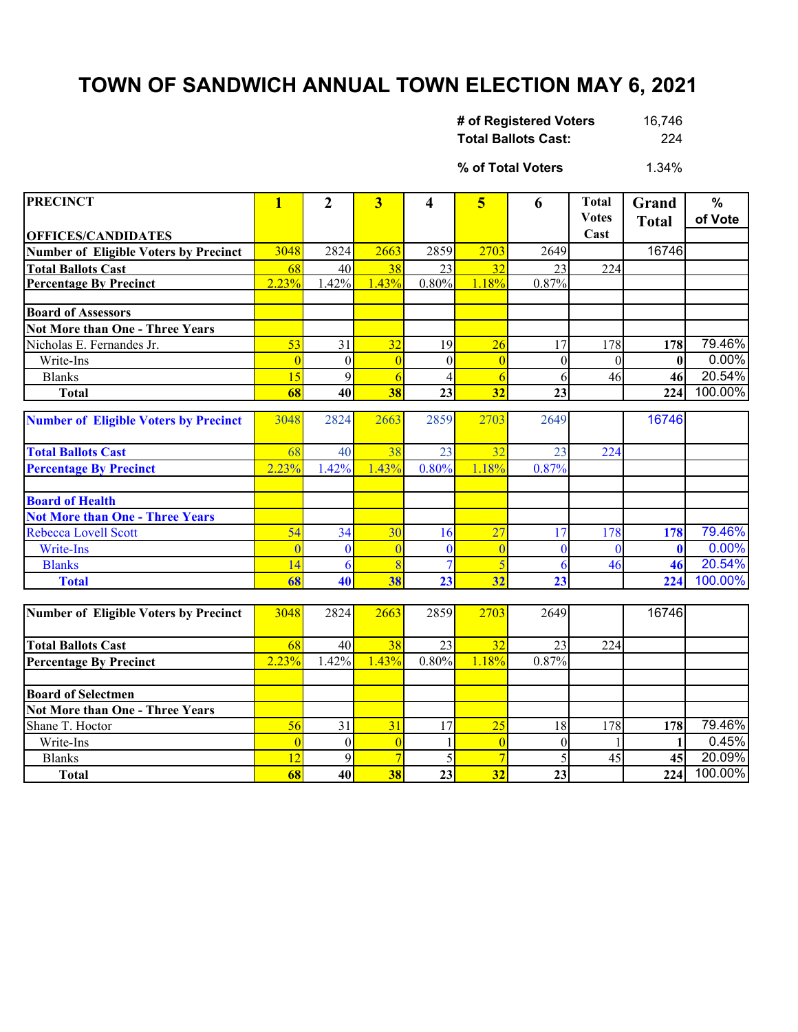## **TOWN OF SANDWICH ANNUAL TOWN ELECTION MAY 6, 2021**

| # of Registered Voters     | 16,746 |
|----------------------------|--------|
| <b>Total Ballots Cast:</b> | 224    |

1.34% **% of Total Voters**

| <b>PRECINCT</b>                              | 1              | 2              | $\overline{\mathbf{3}}$ | 4              | 5              | 6            | <b>Total</b> | Grand        | $\%$    |
|----------------------------------------------|----------------|----------------|-------------------------|----------------|----------------|--------------|--------------|--------------|---------|
|                                              |                |                |                         |                |                |              | <b>Votes</b> | <b>Total</b> | of Vote |
| <b>OFFICES/CANDIDATES</b>                    |                |                |                         |                |                |              | Cast         |              |         |
| <b>Number of Eligible Voters by Precinct</b> | 3048           | 2824           | 2663                    | 2859           | 2703           | 2649         |              | 16746        |         |
| <b>Total Ballots Cast</b>                    | 68             | 40             | 38                      | 23             | 32             | 23           | 224          |              |         |
| <b>Percentage By Precinct</b>                | 2.23%          | 1.42%          | 1.43%                   | 0.80%          | 1.18%          | 0.87%        |              |              |         |
|                                              |                |                |                         |                |                |              |              |              |         |
| <b>Board of Assessors</b>                    |                |                |                         |                |                |              |              |              |         |
| Not More than One - Three Years              |                |                |                         |                |                |              |              |              |         |
| Nicholas E. Fernandes Jr.                    | 53             | 31             | 32                      | 19             | 26             | 17           | 178          | 178          | 79.46%  |
| Write-Ins                                    | $\overline{0}$ | $\mathbf{0}$   | $\overline{0}$          | $\theta$       | $\overline{0}$ | $\theta$     | $\theta$     | $\mathbf{0}$ | 0.00%   |
| <b>Blanks</b>                                | 15             | $\overline{9}$ | 6                       | 4              | 6              | 6            | 46           | 46           | 20.54%  |
| <b>Total</b>                                 | 68             | 40             | 38                      | 23             | 32             | 23           |              | 224          | 100.00% |
| <b>Number of Eligible Voters by Precinct</b> | 3048           | 2824           | 2663                    | 2859           | 2703           | 2649         |              | 16746        |         |
|                                              |                |                |                         |                |                |              |              |              |         |
| <b>Total Ballots Cast</b>                    | 68             | 40             | 38                      | 23             | 32             | 23           | 224          |              |         |
| <b>Percentage By Precinct</b>                | 2.23%          | 1.42%          | 1.43%                   | 0.80%          | 1.18%          | 0.87%        |              |              |         |
|                                              |                |                |                         |                |                |              |              |              |         |
| <b>Board of Health</b>                       |                |                |                         |                |                |              |              |              |         |
| <b>Not More than One - Three Years</b>       |                |                |                         |                |                |              |              |              |         |
| Rebecca Lovell Scott                         | 54             | 34             | 30                      | 16             | 27             | 17           | 178          | 178          | 79.46%  |
| Write-Ins                                    | $\mathbf{0}$   | $\bf{0}$       | $\overline{0}$          | $\mathbf{0}$   | $\overline{0}$ | $\mathbf{0}$ | $\mathbf{0}$ | $\mathbf{0}$ | 0.00%   |
| <b>Blanks</b>                                | 14             | 6              | 8                       | $\overline{7}$ | $\overline{5}$ | 6            | 46           | 46           | 20.54%  |
| <b>Total</b>                                 | 68             | 40             | 38                      | 23             | 32             | 23           |              | 224          | 100.00% |
|                                              |                |                |                         |                |                |              |              |              |         |
| <b>Number of Eligible Voters by Precinct</b> | 3048           | 2824           | 2663                    | 2859           | 2703           | 2649         |              | 16746        |         |
|                                              |                |                |                         |                |                |              |              |              |         |
| <b>Total Ballots Cast</b>                    | 68             | 40             | 38                      | 23             | 32             | 23           | 224          |              |         |
| <b>Percentage By Precinct</b>                | 2.23%          | 1.42%          | 1.43%                   | 0.80%          | 1.18%          | 0.87%        |              |              |         |
|                                              |                |                |                         |                |                |              |              |              |         |
| <b>Board of Selectmen</b>                    |                |                |                         |                |                |              |              |              |         |
| <b>Not More than One - Three Years</b>       |                |                |                         |                |                |              |              |              |         |
| Shane T. Hoctor                              | 56             | 31             | 31                      | 17             | 25             | 18           | 178          | 178          | 79.46%  |
| Write-Ins                                    | $\overline{0}$ | $\mathbf{0}$   | $\overline{0}$          |                | $\overline{0}$ | $\theta$     |              | 1            | 0.45%   |
| <b>Blanks</b>                                | 12             | 9              | $\overline{7}$          |                | $\overline{7}$ | 5            | 45           | 45           | 20.09%  |
| <b>Total</b>                                 | 68             | 40             | 38                      | 23             | 32             | 23           |              | 224          | 100.00% |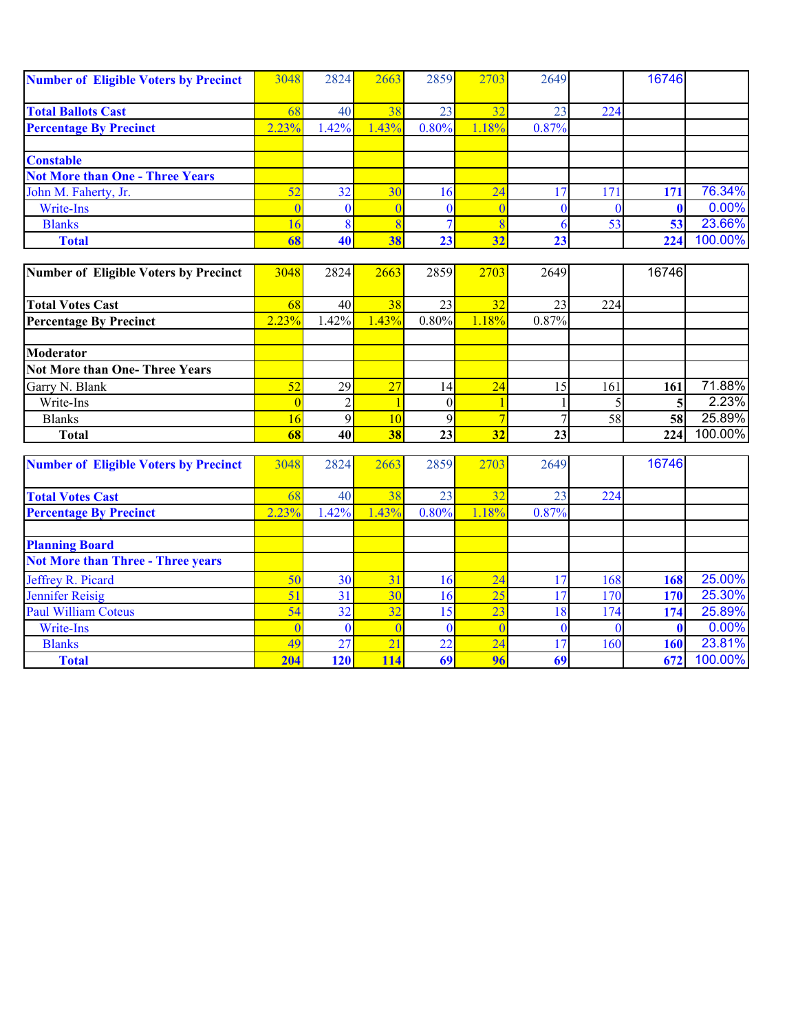| <b>Number of Eligible Voters by Precinct</b> | 3048            | 2824            | 2663            | 2859             | 2703            | 2649           |                 | 16746        |         |
|----------------------------------------------|-----------------|-----------------|-----------------|------------------|-----------------|----------------|-----------------|--------------|---------|
| <b>Total Ballots Cast</b>                    | 68              | 40              | 38              | 23               | 32              | 23             | 224             |              |         |
| <b>Percentage By Precinct</b>                | 2.23%           | 1.42%           | 1.43%           | 0.80%            | 1.18%           | 0.87%          |                 |              |         |
| <b>Constable</b>                             |                 |                 |                 |                  |                 |                |                 |              |         |
| <b>Not More than One - Three Years</b>       |                 |                 |                 |                  |                 |                |                 |              |         |
| John M. Faherty, Jr.                         | 52              | 32              | 30              | 16               | 24              | 17             | 171             | 171          | 76.34%  |
| Write-Ins                                    | $\overline{0}$  | $\mathbf{0}$    | $\overline{0}$  | $\mathbf{0}$     | $\overline{0}$  | $\mathbf{0}$   | $\theta$        | $\mathbf{0}$ | 0.00%   |
| <b>Blanks</b>                                | 16              | 8               | $\overline{8}$  | $\overline{7}$   | 8               | 6              | $\overline{53}$ | 53           | 23.66%  |
| <b>Total</b>                                 | 68              | 40              | 38              | 23               | 32              | 23             |                 | 224          | 100.00% |
| <b>Number of Eligible Voters by Precinct</b> | 3048            | 2824            | 2663            | 2859             | 2703            | 2649           |                 | 16746        |         |
|                                              |                 |                 |                 |                  |                 |                |                 |              |         |
| <b>Total Votes Cast</b>                      | 68              | 40              | 38              | 23               | 32              | 23             | 224             |              |         |
| <b>Percentage By Precinct</b>                | 2.23%           | 1.42%           | 1.43%           | 0.80%            | 1.18%           | 0.87%          |                 |              |         |
|                                              |                 |                 |                 |                  |                 |                |                 |              |         |
| <b>Moderator</b>                             |                 |                 |                 |                  |                 |                |                 |              |         |
| <b>Not More than One-Three Years</b>         |                 |                 |                 |                  |                 |                |                 |              |         |
| Garry N. Blank                               | 52              | 29              | 27              | 14               | 24              | 15             | 161             | 161          | 71.88%  |
| Write-Ins                                    | $\overline{0}$  | $\overline{2}$  | $\mathbf{1}$    | $\boldsymbol{0}$ |                 |                | 5               | 5            | 2.23%   |
| <b>Blanks</b>                                | 16              | 9               | 10              | 9                | $\overline{7}$  | $\overline{7}$ | 58              | 58           | 25.89%  |
| <b>Total</b>                                 | 68              | 40              | 38              | 23               | 32              | 23             |                 | 224          | 100.00% |
| <b>Number of Eligible Voters by Precinct</b> | 3048            | 2824            | 2663            | 2859             | 2703            | 2649           |                 | 16746        |         |
| <b>Total Votes Cast</b>                      | 68              | 40              | 38              | 23               | 32              | 23             | 224             |              |         |
| <b>Percentage By Precinct</b>                | 2.23%           | 1.42%           | 1.43%           | 0.80%            | 1.18%           | 0.87%          |                 |              |         |
| <b>Planning Board</b>                        |                 |                 |                 |                  |                 |                |                 |              |         |
| <b>Not More than Three - Three years</b>     |                 |                 |                 |                  |                 |                |                 |              |         |
| Jeffrey R. Picard                            | 50              | 30              | 31              | 16               | 24              | 17             | 168             | 168          | 25.00%  |
| <b>Jennifer Reisig</b>                       | $\overline{51}$ | $\overline{31}$ | $\overline{30}$ | 16               | $\overline{25}$ | 17             | 170             | 170          | 25.30%  |
| <b>Paul William Coteus</b>                   | $\overline{54}$ | $\overline{32}$ | 32              | 15               | $\overline{23}$ | 18             | 174             | 174          | 25.89%  |
| Write-Ins                                    | $\overline{0}$  | $\mathbf{0}$    | $\overline{0}$  | $\bf{0}$         | $\overline{0}$  | $\bf{0}$       | $\mathbf{0}$    | $\mathbf{0}$ | 0.00%   |
| <b>Blanks</b>                                | 49              | $\overline{27}$ | $\overline{21}$ | $\overline{22}$  | $\overline{24}$ | 17             | 160             | 160          | 23.81%  |
| <b>Total</b>                                 | 204             | 120             | 114             | 69               | 96              | 69             |                 | 672          | 100.00% |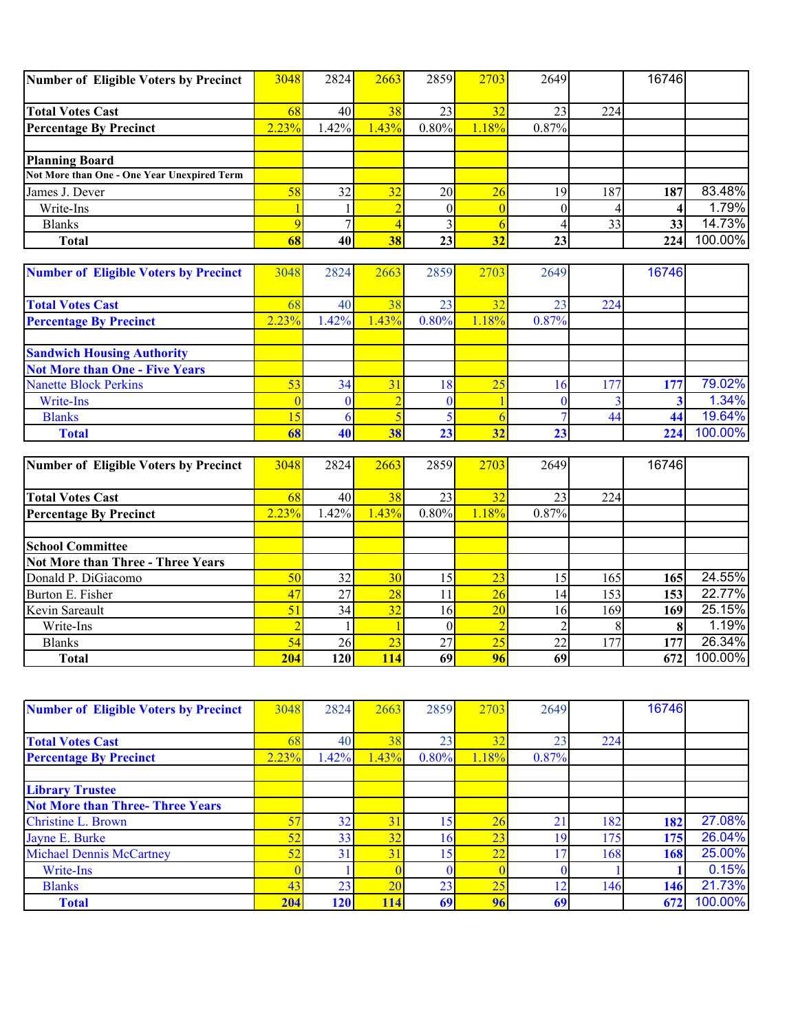| Number of Eligible Voters by Precinct       | 3048  | 2824 | 2663  | 2859  | 2703            | 2649            |     | 16746 |         |
|---------------------------------------------|-------|------|-------|-------|-----------------|-----------------|-----|-------|---------|
|                                             |       |      |       |       |                 |                 |     |       |         |
| <b>Total Votes Cast</b>                     | 68.   | 40   | 38    | 23    | 32              | 23 <sub>1</sub> | 224 |       |         |
| <b>Percentage By Precinct</b>               | 2.23% | .42% | 1.43% | 0.80% | .18%            | 0.87%           |     |       |         |
|                                             |       |      |       |       |                 |                 |     |       |         |
| <b>Planning Board</b>                       |       |      |       |       |                 |                 |     |       |         |
| Not More than One - One Year Unexpired Term |       |      |       |       |                 |                 |     |       |         |
| James J. Dever                              | 58    | 32   | 32    | 20    | $\overline{26}$ | 19              | 187 | 187   | 83.48%  |
| Write-Ins                                   |       |      |       |       |                 |                 |     |       | 1.79%   |
| <b>Blanks</b>                               |       |      |       |       |                 |                 | 33  | 33 I  | 14.73%  |
| <b>Total</b>                                | 68    | 40   | 38    | 23    | 32              | 23 <sub>1</sub> |     | 224   | 100.00% |

| <b>Number of Eligible Voters by Precinct</b> | 3048  | 2824 | 2663  | 2859         | 2703 | 2649  |     | 16746 |         |
|----------------------------------------------|-------|------|-------|--------------|------|-------|-----|-------|---------|
|                                              |       |      |       |              |      |       |     |       |         |
| <b>Total Votes Cast</b>                      |       | 40   | 38    | 23           | 32   | 23    | 224 |       |         |
| <b>Percentage By Precinct</b>                | 2.23% | .42% | 1.43% | 0.80%        | .18% | 0.87% |     |       |         |
|                                              |       |      |       |              |      |       |     |       |         |
| <b>Sandwich Housing Authority</b>            |       |      |       |              |      |       |     |       |         |
| <b>Not More than One - Five Years</b>        |       |      |       |              |      |       |     |       |         |
| <b>Nanette Block Perkins</b>                 | 53    | 34   | 31    | <sup>8</sup> | 25   |       | 177 | 177   | 79.02%  |
| Write-Ins                                    |       |      |       |              |      |       |     |       | 1.34%   |
| <b>Blanks</b>                                |       |      |       |              |      |       | 44  | 44    | 19.64%  |
| <b>Total</b>                                 | 68    | 40   | 38    | 23           | 32   | 23    |     | 224   | 100.00% |

| Number of Eligible Voters by Precinct | 3048       | 2824            | 2663            | 2859  | 2703            | 2649  |     | 16746 |         |
|---------------------------------------|------------|-----------------|-----------------|-------|-----------------|-------|-----|-------|---------|
|                                       |            |                 |                 |       |                 |       |     |       |         |
| <b>Total Votes Cast</b>               | 68         | 40              | 38              | 23    | 32              | 23    | 224 |       |         |
| <b>Percentage By Precinct</b>         | 2.23%      | $.42\%$         | 1.43%           | 0.80% | 1.18%           | 0.87% |     |       |         |
|                                       |            |                 |                 |       |                 |       |     |       |         |
| <b>School Committee</b>               |            |                 |                 |       |                 |       |     |       |         |
| Not More than Three - Three Years     |            |                 |                 |       |                 |       |     |       |         |
| Donald P. DiGiacomo                   | 50         | 32              | 30 <sup>l</sup> | .5    | 23              | 15    | 165 | 165   | 24.55%  |
| Burton E. Fisher                      | 47         | 27              | $\overline{28}$ |       | $\overline{26}$ | 14    | 153 | 153   | 22.77%  |
| Kevin Sareault                        | 51         | 34              | 32              | 16    | 20              | 16    | 169 | 169   | 25.15%  |
| Write-Ins                             |            |                 |                 |       |                 |       |     |       | 1.19%   |
| <b>Blanks</b>                         | 54         | 26 <sup>1</sup> | 23              | 27    | 25              | 22    | 177 | 177   | 26.34%  |
| <b>Total</b>                          | <b>204</b> | 120             | <b>114</b>      | 69    | 96              | 69    |     | 672   | 100.00% |

| <b>Number of Eligible Voters by Precinct</b> | 3048  | 2824 | 2663 | 2859       | 2703           | 2649           |     | 16746 |         |
|----------------------------------------------|-------|------|------|------------|----------------|----------------|-----|-------|---------|
|                                              |       |      |      |            |                |                |     |       |         |
| <b>Total Votes Cast</b>                      |       | 40   | 38   | 23         | 2 <sup>1</sup> | 23             | 224 |       |         |
| <b>Percentage By Precinct</b>                | 2.23% | .42% | .43% | 0.80%      | .18%           | 0.87%          |     |       |         |
|                                              |       |      |      |            |                |                |     |       |         |
| <b>Library Trustee</b>                       |       |      |      |            |                |                |     |       |         |
| <b>Not More than Three-Three Years</b>       |       |      |      |            |                |                |     |       |         |
| <b>Christine L. Brown</b>                    | 57    | 32   | 31   | 15         | 2 <sub>t</sub> | 21             | 182 | 182   | 27.08%  |
| Jayne E. Burke                               | 52    | 33   | 32   | $\epsilon$ | 23             | 19             | 175 | 175   | 26.04%  |
| <b>Michael Dennis McCartney</b>              | 52    | 31   | 31   | 5          | 22             |                | 168 | 168   | 25.00%  |
| Write-Ins                                    |       |      |      |            |                |                |     |       | 0.15%   |
| <b>Blanks</b>                                | 43    | 23   | 20   | 23         | 25             | $\overline{2}$ | 146 | 146   | 21.73%  |
| <b>Total</b>                                 | 204   | 120  | 114  | 69         | 96             | 69             |     | 672   | 100.00% |